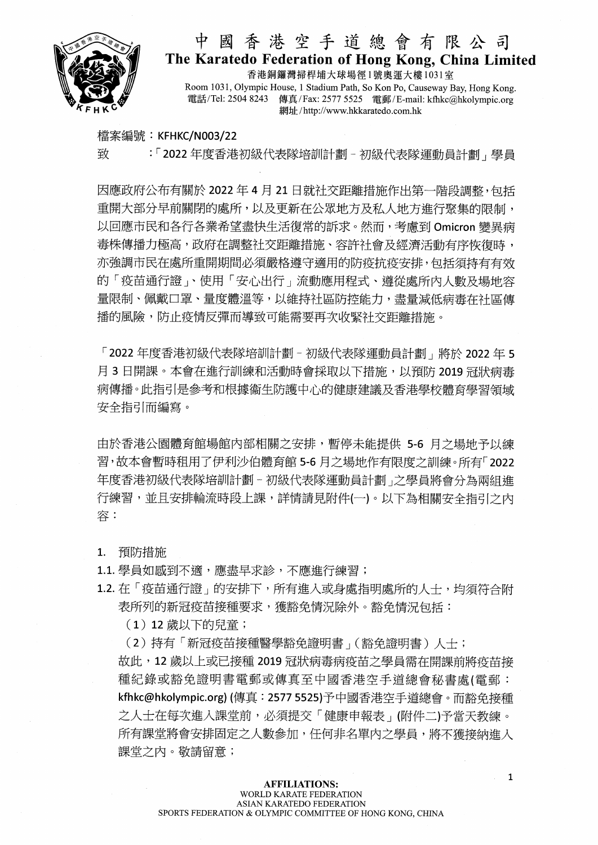

## 中國香港空手道總會有限公司 The Karatedo Federation of Hong Kong, China Limited

香港銅鑼灣掃桿埔大球場徑1號奧運大樓1031室 Room 1031, Olympic House, 1 Stadium Path, So Kon Po, Causeway Bay, Hong Kong, 電話/Tel: 2504 8243 傳真/Fax: 2577 5525 電郵/E-mail: kfhkc@hkolympic.org 網址/http://www.hkkaratedo.com.hk

檔案編號: KFHKC/N003/22

致 : 「2022年度香港初級代表隊培訓計劃 - 初級代表隊運動員計劃, 學員

因應政府公布有關於 2022年4月21日就社交距離措施作出第一階段調整,包括 重開大部分早前關閉的處所,以及更新在公眾地方及私人地方進行聚集的限制, 以回應市民和各行各業希望盡快生活復常的訴求。然而,考慮到 Omicron 變異病 毒株傳播力極高,政府在調整社交距離措施、容許社會及經濟活動有序恢復時, 亦強調市民在處所重開期間必須嚴格導守適用的防疫抗疫安排,包括須持有有效 的「疫苗通行證」、使用「安心出行」流動應用程式、遵從處所內人數及場地容 量限制、佩戴口罩、量度體溫等,以維持社區防控能力,盡量減低病毒在社區傳 播的風險,防止疫情反彈而導致可能需要再次收緊社交距離措施。

「2022年度香港初級代表隊培訓計劃 - 初級代表隊運動員計劃」將於 2022年5 月 3 日開課。本會在進行訓練和活動時會採取以下措施,以預防 2019 冠狀病毒 病傳播。此指引是參考和根據衞生防護中心的健康建議及香港學校體育學習領域 安全指引而編寫。

由於香港公園體育館場館内部相關之安排,暫停未能提供 5-6 月之場地予以練 習,故本會暫時租用了伊利沙伯體育館 5-6 月之場地作有限度之訓練。所有「2022 年度香港初级代表隊培訓計劃 - 初級代表隊運動員計劃 之學員將會分為兩組進 行練習,並且安排輪流時段上課,詳情請見附件(一)。以下為相關安全指引之内 容:

預防措施  $1.$ 

- 1.1. 學員如感到不適,應盡早求診,不應進行練習;
- 1.2. 在「疫苗通行證」的安排下,所有進入或身處指明處所的人十,均須符合附 表所列的新冠疫苗接種要求,獲豁免情況除外。豁免情況包括:

(1) 12 歲以下的兒童;

(2)持有「新冠疫苗接種醫學豁免證明書」(豁免證明書)人十; 故此,12歲以上或已接種 2019冠狀病毒病疫苗之學員需在開課前將疫苗接 種紀錄或豁免證明書電郵或傳真至中國香港空手道總會秘書處(電郵: kfhkc@hkolympic.org) (傳真: 2577 5525)予中國香港空手道總會。而豁免接種 之人士在每次進入課堂前,必須提交「健康申報表」(附件二)予當天教練。 所有課堂將會安排固定之人數參加,任何非名單內之學員,將不獲接納進入 課堂之內。敬請留意;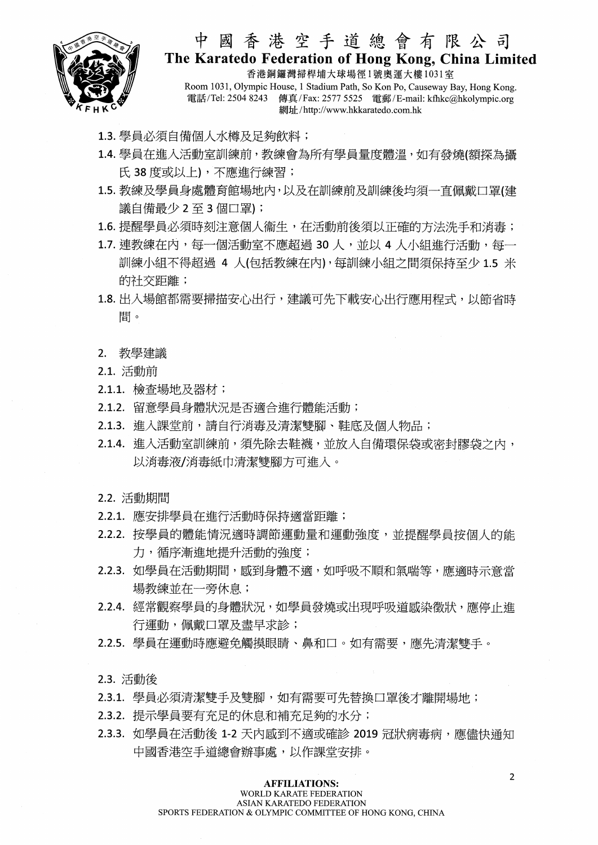

#### 中國香港空手道總會有限公司 The Karatedo Federation of Hong Kong, China Limited

香港銅鑼灣掃桿埔大球場徑1號奧渾大樓1031室 Room 1031, Olympic House, 1 Stadium Path, So Kon Po, Causeway Bay, Hong Kong. 電話/Tel: 2504 8243 傳真/Fax: 2577 5525 電郵/E-mail: kfhkc@hkolympic.org 網址/http://www.hkkaratedo.com.hk

- 1.3. 學員必須自備個人水樽及足夠飲料;
- 1.4. 學員在進入活動室訓練前, 教練會為所有學員量度體溫, 如有發燒(額探為攝 氏 38 度或以上),不應進行練習;
- 1.5. 教練及學員身處體育館場地內,以及在訓練前及訓練後均須一直佩戴口罩(建 議自備最少2至3個口罩);
- 1.6. 提醒學員必須時刻注意個人衞生,在活動前後須以正確的方法洗手和消毒;
- 1.7. 連教練在內, 每一個活動室不應超過 30 人, 並以 4 人小組谁行活動, 每一 訓練小組不得超過 4 人(包括教練在内),每訓練小組之間須保持至少 1.5 米 的社交距離;
- 1.8. 出入場館都需要掃描安心出行, 建議可先下載安心出行應用程式, 以節省時 間。
- 2. 教學建議
- 2.1. 活動前
- 2.1.1. 檢查場地及器材;
- 2.1.2. 留意學員身體狀況是否滴合進行體能活動;
- 2.1.3. 進入課堂前,請自行消毒及清潔雙腳、鞋底及個人物品;
- 2.1.4. 進入活動室訓練前,須先除去鞋襪,並放入自備環保袋或密封膠袋之內, 以消毒液/消毒紙巾清潔雙腳方可進入。
- 2.2. 活動期間
- 2.2.1. 應安排學員在進行活動時保持適當距離;
- 2.2.2. 按學員的體能情況適時調節運動量和運動強度,並提醒學員按個人的能 力,循序漸進地提升活動的強度;
- 2.2.3. 如學員在活動期間,感到身體不適,如呼吸不順和氣喘等,應適時示意當 場教練並在一旁休息;
- 2.2.4. 經常觀察學員的身體狀況, 如學員發燒或出現呼吸道感染徵狀, 應停止進 行運動, 佩戴口罩及盡早求診;
- 2.2.5. 學員在運動時應避免觸摸眼睛、鼻和口。如有需要,應先清潔雙手。
- 2.3. 活動後
- 2.3.1. 學員必須清潔雙手及雙腳, 如有需要可先替換口罩後才離開場地;
- 2.3.2. 提示學員要有充足的休息和補充足夠的水分;
- 2.3.3. 如學員在活動後 1-2 天内感到不適或確診 2019 冠狀病毒病, 應儘快通知 中國香港空手道總會辦事處,以作課堂安排。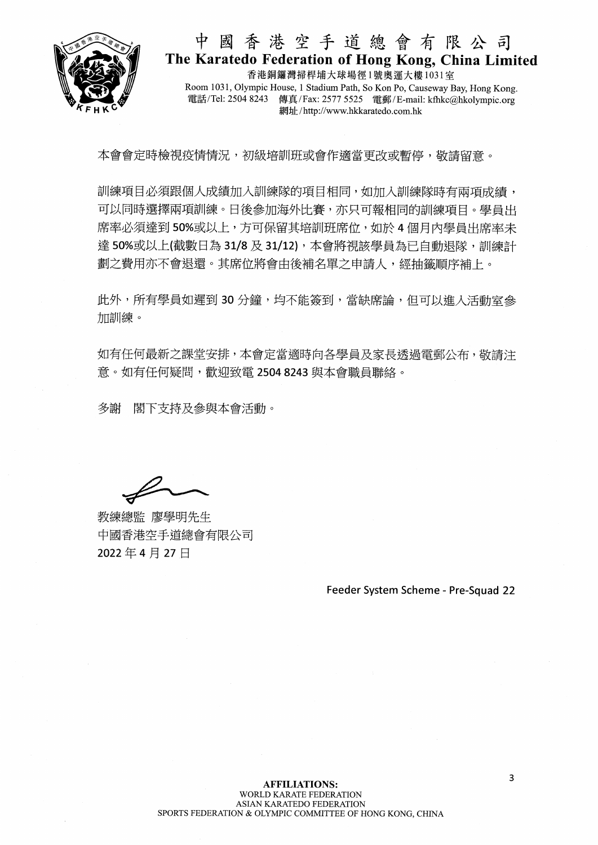

### 中國香港空手道總會有限公司 The Karatedo Federation of Hong Kong, China Limited

香港銅鑼灣掃桿埔大球場徑1號奧運大樓1031室 Room 1031, Olympic House, 1 Stadium Path, So Kon Po, Causeway Bay, Hong Kong, 電話/Tel: 2504 8243 傳真/Fax: 2577 5525 電郵/E-mail: kfhkc@hkolympic.org 網址/http://www.hkkaratedo.com.hk

本會會定時檢視疫情情況,初級培訓班或會作適當更改或暫停,敬請留意。

訓練項目必須跟個人成績加入訓練隊的項目相同,如加入訓練隊時有兩項成績, 可以同時選擇兩項訓練。日後參加海外比賽,亦只可報相同的訓練項目。學員出 席率必須達到50%或以上,方可保留其培訓班席位,如於4個月內學員出席率未 達 50%或以上(截數日為 31/8 及 31/12),本會將視該學員為已自動退隊,訓練計 劃之費用亦不會退還。其席位將會由後補名單之申請人,經抽籤順序補上。

此外,所有學員如遲到30分鐘,均不能簽到,當缺席論,但可以進入活動室參 加訓練。

如有任何最新之課堂安排,本會定當適時向各學員及家長诱過雷郵公布,敬請注 意。如有任何疑問,歡迎致電 2504 8243 與本會職員聯絡。

多謝 閣下支持及參與本會活動。

教練總監 廖學明先生 中國香港空手道總會有限公司 2022年4月27日

Feeder System Scheme - Pre-Squad 22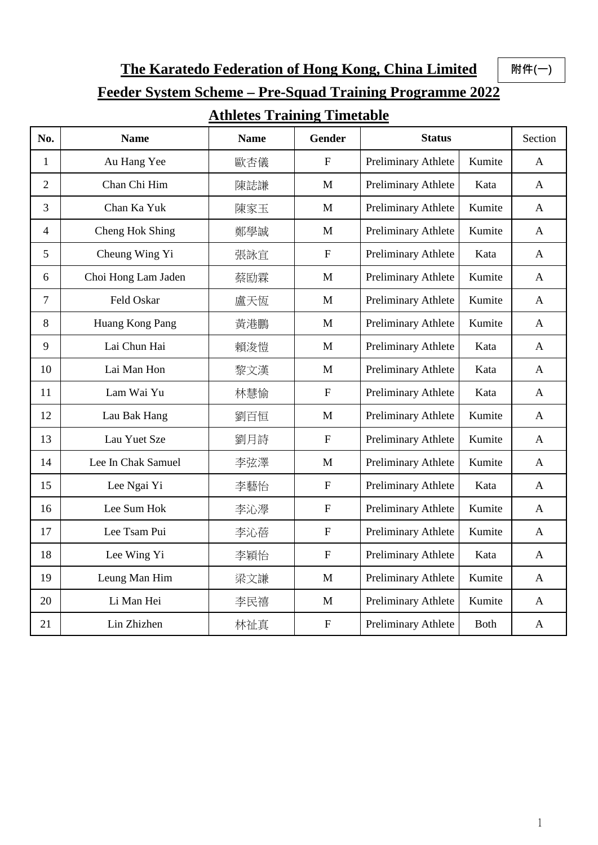**The Karatedo Federation of Hong Kong, China Limited**

**附件(一)**

# **Feeder System Scheme – Pre-Squad Training Programme 2022**

## **Athletes Training Timetable**

| No.            | <b>Name</b>         | <b>Name</b> | Gender                    | <b>Status</b>       |             | Section      |
|----------------|---------------------|-------------|---------------------------|---------------------|-------------|--------------|
| $\mathbf{1}$   | Au Hang Yee         | 歐杏儀         | ${\bf F}$                 | Preliminary Athlete | Kumite      | $\mathbf{A}$ |
| $\overline{2}$ | Chan Chi Him        | 陳誌謙         | M                         | Preliminary Athlete | Kata        | $\mathbf{A}$ |
| 3              | Chan Ka Yuk         | 陳家玉         | $\mathbf{M}$              | Preliminary Athlete | Kumite      | $\mathbf{A}$ |
| $\overline{4}$ | Cheng Hok Shing     | 鄭學誠         | M                         | Preliminary Athlete | Kumite      | $\mathbf{A}$ |
| 5              | Cheung Wing Yi      | 張詠宜         | $\boldsymbol{\mathrm{F}}$ | Preliminary Athlete | Kata        | $\mathbf{A}$ |
| 6              | Choi Hong Lam Jaden | 蔡劻霖         | $\mathbf{M}$              | Preliminary Athlete | Kumite      | $\mathbf{A}$ |
| $\overline{7}$ | Feld Oskar          | 盧天恆         | $\mathbf{M}$              | Preliminary Athlete | Kumite      | $\mathbf{A}$ |
| 8              | Huang Kong Pang     | 黃港鵬         | M                         | Preliminary Athlete | Kumite      | $\mathbf{A}$ |
| 9              | Lai Chun Hai        | 賴浚愷         | $\mathbf{M}$              | Preliminary Athlete | Kata        | $\mathbf{A}$ |
| 10             | Lai Man Hon         | 黎文漢         | M                         | Preliminary Athlete | Kata        | $\mathbf{A}$ |
| 11             | Lam Wai Yu          | 林慧愉         | $\boldsymbol{\mathrm{F}}$ | Preliminary Athlete | Kata        | A            |
| 12             | Lau Bak Hang        | 劉百恒         | M                         | Preliminary Athlete | Kumite      | A            |
| 13             | Lau Yuet Sze        | 劉月詩         | $\mathbf F$               | Preliminary Athlete | Kumite      | $\mathbf{A}$ |
| 14             | Lee In Chak Samuel  | 李弦澤         | $\mathbf{M}$              | Preliminary Athlete | Kumite      | $\mathbf{A}$ |
| 15             | Lee Ngai Yi         | 李藝怡         | $\mathbf F$               | Preliminary Athlete | Kata        | $\mathbf{A}$ |
| 16             | Lee Sum Hok         | 李沁學         | $\boldsymbol{\mathrm{F}}$ | Preliminary Athlete | Kumite      | $\mathbf{A}$ |
| 17             | Lee Tsam Pui        | 李沁蓓         | $\mathbf{F}$              | Preliminary Athlete | Kumite      | $\mathbf{A}$ |
| 18             | Lee Wing Yi         | 李穎怡         | $\mathbf F$               | Preliminary Athlete | Kata        | $\mathbf{A}$ |
| 19             | Leung Man Him       | 梁文謙         | $\mathbf{M}$              | Preliminary Athlete | Kumite      | A            |
| 20             | Li Man Hei          | 李民禧         | $\mathbf{M}$              | Preliminary Athlete | Kumite      | $\mathbf{A}$ |
| 21             | Lin Zhizhen         | 林祉真         | ${\bf F}$                 | Preliminary Athlete | <b>Both</b> | $\mathbf{A}$ |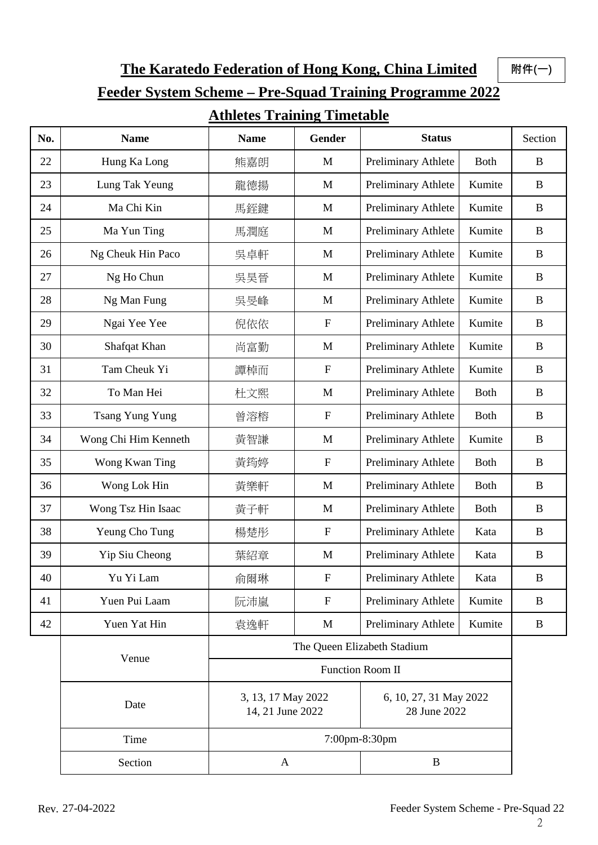**The Karatedo Federation of Hong Kong, China Limited**

**附件(一)**

# **Feeder System Scheme – Pre-Squad Training Programme 2022**

#### **Athletes Training Timetable**

| No. | <b>Name</b>            | <b>Name</b>                                     | <b>Gender</b> | <b>Status</b>                          |              | Section     |
|-----|------------------------|-------------------------------------------------|---------------|----------------------------------------|--------------|-------------|
| 22  | Hung Ka Long           | 熊嘉朗                                             | M             | Preliminary Athlete                    | <b>Both</b>  | B           |
| 23  | Lung Tak Yeung         | 龍德揚                                             | M             | Preliminary Athlete                    | Kumite       | $\mathbf B$ |
| 24  | Ma Chi Kin             | 馬銍鍵                                             | M             | Preliminary Athlete                    | Kumite       | B           |
| 25  | Ma Yun Ting            | 馬潤庭                                             | M             | Preliminary Athlete                    | Kumite       | B           |
| 26  | Ng Cheuk Hin Paco      | 吳卓軒                                             | M             | Preliminary Athlete                    | Kumite       | B           |
| 27  | Ng Ho Chun             | 吳昊晉                                             | M             | Preliminary Athlete                    | Kumite       | B           |
| 28  | Ng Man Fung            | 吳旻峰                                             | M             | Preliminary Athlete                    | Kumite       | B           |
| 29  | Ngai Yee Yee           | 倪依依                                             | ${\bf F}$     | Preliminary Athlete                    | Kumite       | B           |
| 30  | Shafqat Khan           | 尚富勤                                             | M             | Preliminary Athlete                    | Kumite       | B           |
| 31  | Tam Cheuk Yi           | 譚棹而                                             | ${\bf F}$     | Preliminary Athlete                    | Kumite       | B           |
| 32  | To Man Hei             | 杜文熙                                             | M             | Preliminary Athlete                    | <b>Both</b>  | $\mathbf B$ |
| 33  | <b>Tsang Yung Yung</b> | 曾溶榕                                             | ${\bf F}$     | Preliminary Athlete                    | <b>B</b> oth | B           |
| 34  | Wong Chi Him Kenneth   | 黃智謙                                             | M             | Preliminary Athlete                    | Kumite       | B           |
| 35  | Wong Kwan Ting         | 黃筠婷                                             | ${\bf F}$     | Preliminary Athlete                    | <b>Both</b>  | B           |
| 36  | Wong Lok Hin           | 黃樂軒                                             | M             | Preliminary Athlete                    | <b>Both</b>  | B           |
| 37  | Wong Tsz Hin Isaac     | 黃子軒                                             | M             | Preliminary Athlete                    | <b>Both</b>  | B           |
| 38  | Yeung Cho Tung         | 楊楚彤                                             | ${\bf F}$     | Preliminary Athlete                    | Kata         | B           |
| 39  | Yip Siu Cheong         | 葉紹章                                             | M             | Preliminary Athlete                    | Kata         | B           |
| 40  | Yu Yi Lam              | 俞爾琳                                             | $\mathbf F$   | Preliminary Athlete                    | Kata         | B           |
| 41  | Yuen Pui Laam          | 阮沛嵐                                             | $\mathbf F$   | Preliminary Athlete                    | Kumite       | B           |
| 42  | Yuen Yat Hin           | 袁逸軒                                             | M             | Preliminary Athlete                    | Kumite       | B           |
|     |                        | The Queen Elizabeth Stadium<br>Function Room II |               |                                        |              |             |
|     | Venue                  |                                                 |               |                                        |              |             |
|     | Date                   | 3, 13, 17 May 2022<br>14, 21 June 2022          |               | 6, 10, 27, 31 May 2022<br>28 June 2022 |              |             |
|     | Time                   | 7:00pm-8:30pm                                   |               |                                        |              |             |
|     | Section                | A                                               |               | B                                      |              |             |